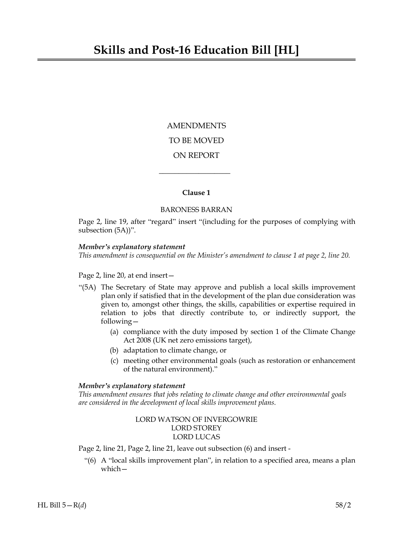AMENDMENTS TO BE MOVED ON REPORT

# **Clause 1**

 $\overline{\phantom{a}}$  , where  $\overline{\phantom{a}}$ 

### BARONESS BARRAN

Page 2, line 19, after "regard" insert "(including for the purposes of complying with subsection (5A))".

### *Member's explanatory statement*

*This amendment is consequential on the Minister's amendment to clause 1 at page 2, line 20.*

Page 2, line 20, at end insert—

- "(5A) The Secretary of State may approve and publish a local skills improvement plan only if satisfied that in the development of the plan due consideration was given to, amongst other things, the skills, capabilities or expertise required in relation to jobs that directly contribute to, or indirectly support, the following—
	- (a) compliance with the duty imposed by section 1 of the Climate Change Act 2008 (UK net zero emissions target),
	- (b) adaptation to climate change, or
	- (c) meeting other environmental goals (such as restoration or enhancement of the natural environment)."

## *Member's explanatory statement*

*This amendment ensures that jobs relating to climate change and other environmental goals are considered in the development of local skills improvement plans.*

# LORD WATSON OF INVERGOWRIE LORD STOREY LORD LUCAS

Page 2, line 21, Page 2, line 21, leave out subsection (6) and insert -

"(6) A "local skills improvement plan", in relation to a specified area, means a plan which—

HL Bill  $5 - R(d)$  58/2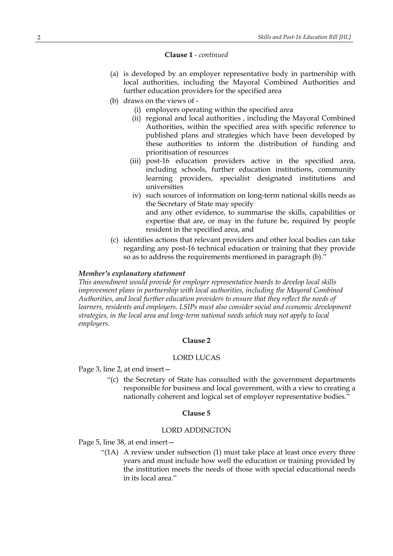### **Clause 1** *- continued*

- (a) is developed by an employer representative body in partnership with local authorities, including the Mayoral Combined Authorities and further education providers for the specified area
- (b) draws on the views of
	- (i) employers operating within the specified area
	- (ii) regional and local authorities , including the Mayoral Combined Authorities, within the specified area with specific reference to published plans and strategies which have been developed by these authorities to inform the distribution of funding and prioritisation of resources
	- (iii) post-16 education providers active in the specified area, including schools, further education institutions, community learning providers, specialist designated institutions and universities
	- iv) such sources of information on long-term national skills needs as the Secretary of State may specify and any other evidence, to summarise the skills, capabilities or expertise that are, or may in the future be, required by people resident in the specified area, and
- (c) identifies actions that relevant providers and other local bodies can take regarding any post-16 technical education or training that they provide so as to address the requirements mentioned in paragraph (b)."

### *Member's explanatory statement*

*This amendment would provide for employer representative boards to develop local skills improvement plans in partnership with local authorities, including the Mayoral Combined Authorities, and local further education providers to ensure that they reflect the needs of learners, residents and employers. LSIPs must also consider social and economic development strategies, in the local area and long-term national needs which may not apply to local employers.*

#### **Clause 2**

#### LORD LUCAS

Page 3, line 2, at end insert—

"(c) the Secretary of State has consulted with the government departments responsible for business and local government, with a view to creating a nationally coherent and logical set of employer representative bodies."

### **Clause 5**

# LORD ADDINGTON

Page 5, line 38, at end insert—

"(1A) A review under subsection (1) must take place at least once every three years and must include how well the education or training provided by the institution meets the needs of those with special educational needs in its local area."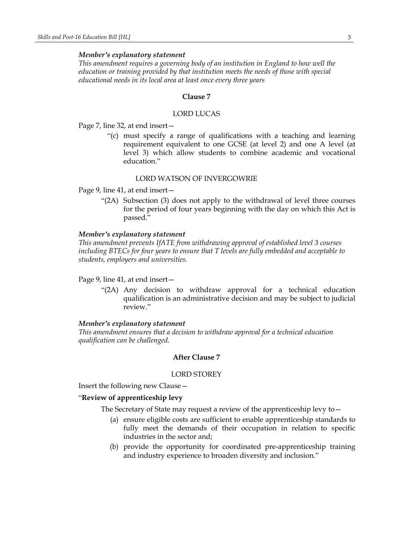#### *Member's explanatory statement*

*This amendment requires a governing body of an institution in England to how well the education or training provided by that institution meets the needs of those with special educational needs in its local area at least once every three years*

#### **Clause 7**

# LORD LUCAS

Page 7, line 32, at end insert—

"(c) must specify a range of qualifications with a teaching and learning requirement equivalent to one GCSE (at level 2) and one A level (at level 3) which allow students to combine academic and vocational education."

### LORD WATSON OF INVERGOWRIE

Page 9, line 41, at end insert—

"(2A) Subsection (3) does not apply to the withdrawal of level three courses for the period of four years beginning with the day on which this Act is passed."

## *Member's explanatory statement*

*This amendment prevents IfATE from withdrawing approval of established level 3 courses including BTECs for four years to ensure that T levels are fully embedded and acceptable to students, employers and universities.*

#### Page 9, line 41, at end insert—

"(2A) Any decision to withdraw approval for a technical education qualification is an administrative decision and may be subject to judicial review."

#### *Member's explanatory statement*

*This amendment ensures that a decision to withdraw approval for a technical education qualification can be challenged.*

# **After Clause 7**

#### LORD STOREY

Insert the following new Clause—

### "**Review of apprenticeship levy**

The Secretary of State may request a review of the apprenticeship levy to—

- (a) ensure eligible costs are sufficient to enable apprenticeship standards to fully meet the demands of their occupation in relation to specific industries in the sector and;
- (b) provide the opportunity for coordinated pre-apprenticeship training and industry experience to broaden diversity and inclusion."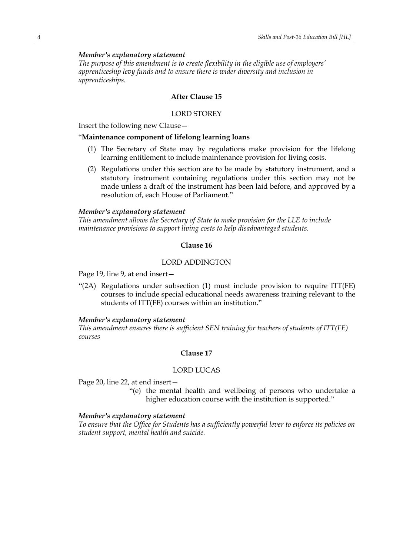# *Member's explanatory statement*

*The purpose of this amendment is to create flexibility in the eligible use of employers' apprenticeship levy funds and to ensure there is wider diversity and inclusion in apprenticeships.*

## **After Clause 15**

### LORD STOREY

Insert the following new Clause—

#### "**Maintenance component of lifelong learning loans**

- (1) The Secretary of State may by regulations make provision for the lifelong learning entitlement to include maintenance provision for living costs.
- (2) Regulations under this section are to be made by statutory instrument, and a statutory instrument containing regulations under this section may not be made unless a draft of the instrument has been laid before, and approved by a resolution of, each House of Parliament."

#### *Member's explanatory statement*

*This amendment allows the Secretary of State to make provision for the LLE to include maintenance provisions to support living costs to help disadvantaged students.*

### **Clause 16**

#### LORD ADDINGTON

Page 19, line 9, at end insert—

"(2A) Regulations under subsection (1) must include provision to require ITT(FE) courses to include special educational needs awareness training relevant to the students of ITT(FE) courses within an institution."

#### *Member's explanatory statement*

*This amendment ensures there is sufficient SEN training for teachers of students of ITT(FE) courses*

## **Clause 17**

### LORD LUCAS

Page 20, line 22, at end insert—

"(e) the mental health and wellbeing of persons who undertake a higher education course with the institution is supported."

### *Member's explanatory statement*

*To ensure that the Office for Students has a sufficiently powerful lever to enforce its policies on student support, mental health and suicide.*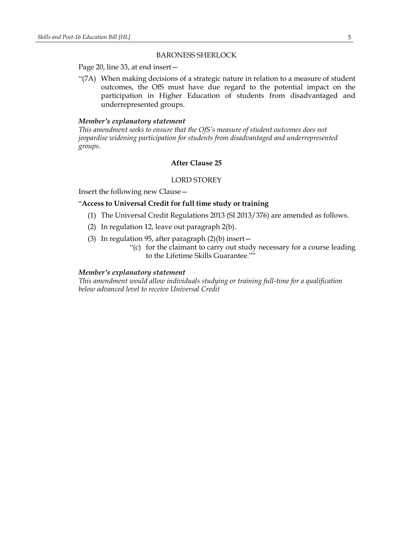#### BARONESS SHERLOCK

Page 20, line 33, at end insert—

"(7A) When making decisions of a strategic nature in relation to a measure of student outcomes, the OfS must have due regard to the potential impact on the participation in Higher Education of students from disadvantaged and underrepresented groups.

#### *Member's explanatory statement*

*This amendment seeks to ensure that the OfS's measure of student outcomes does not jeopardise widening participation for students from disadvantaged and underrepresented groups.*

# **After Clause 25**

### LORD STOREY

Insert the following new Clause—

## "**Access to Universal Credit for full time study or training**

- (1) The Universal Credit Regulations 2013 (SI 2013/376) are amended as follows.
- (2) In regulation 12, leave out paragraph 2(b).
- (3) In regulation 95, after paragraph (2)(b) insert—
	- "(c) for the claimant to carry out study necessary for a course leading to the Lifetime Skills Guarantee.""

# *Member's explanatory statement*

*This amendment would allow individuals studying or training full-time for a qualification below advanced level to receive Universal Credit*